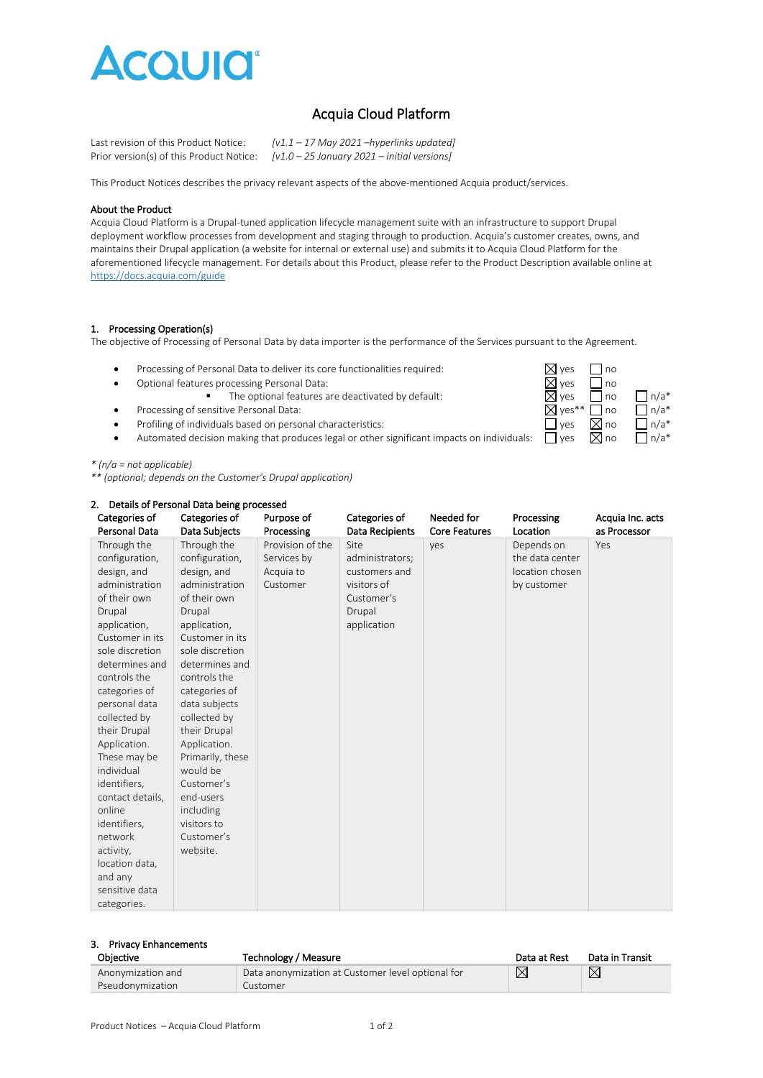

# Acquia Cloud Platform

| Last revision of this Product Notice:    | $[v1.1 - 17$ May 2021 -hyperlinks updated]    |
|------------------------------------------|-----------------------------------------------|
| Prior version(s) of this Product Notice: | $[v1.0 - 25$ January 2021 – initial versions] |

This Product Notices describes the privacy relevant aspects of the above-mentioned Acquia product/services.

#### About the Product

Acquia Cloud Platform is a Drupal-tuned application lifecycle management suite with an infrastructure to support Drupal deployment workflow processes from development and staging through to production. Acquia's customer creates, owns, and maintains their Drupal application (a website for internal or external use) and submits it to Acquia Cloud Platform for the aforementioned lifecycle management. For details about this Product, please refer to the Product Description available online at <https://docs.acquia.com/guide>

# 1. Processing Operation(s)

The objective of Processing of Personal Data by data importer is the performance of the Services pursuant to the Agreement.

- Processing of Personal Data to deliver its core functionalities required:  $\boxtimes$  yes  $\Box$  no <br>• Optional features processing Personal Data:  $\boxtimes$  yes  $\Box$  no
- Optional features processing Personal Data:  $\boxtimes$  yes  $\Box$  no
	- The optional features are deactivated by default:  $\boxtimes$  yes  $\Box$  no  $\Box$  n/a\*
- Processing of sensitive Personal Data:  $\Box$  yes\*\*  $\Box$  no  $\Box$  n/a\*
- 
- Profiling of individuals based on personal characteristics:<br>• Automated decision making that produces legal or other significant impacts on individuals:  $\Box$  yes  $\boxtimes$  no  $\Box$  n/a\* • Automated decision making that produces legal or other significant impacts on individuals:  $\Box$  yes

## *\* (n/a = not applicable)*

*\*\* (optional; depends on the Customer's Drupal application)*

| 2. Details of Personal Data being processed |                  |                  |                 |                      |                 |                  |  |
|---------------------------------------------|------------------|------------------|-----------------|----------------------|-----------------|------------------|--|
| Categories of                               | Categories of    | Purpose of       | Categories of   | Needed for           | Processing      | Acquia Inc. acts |  |
| Personal Data                               | Data Subjects    | Processing       | Data Recipients | <b>Core Features</b> | Location        | as Processor     |  |
| Through the                                 | Through the      | Provision of the | Site            | yes                  | Depends on      | Yes              |  |
| configuration,                              | configuration,   | Services by      | administrators; |                      | the data center |                  |  |
| design, and                                 | design, and      | Acquia to        | customers and   |                      | location chosen |                  |  |
| administration                              | administration   | Customer         | visitors of     |                      | by customer     |                  |  |
| of their own                                | of their own     |                  | Customer's      |                      |                 |                  |  |
| Drupal                                      | Drupal           |                  | Drupal          |                      |                 |                  |  |
| application,                                | application,     |                  | application     |                      |                 |                  |  |
| Customer in its                             | Customer in its  |                  |                 |                      |                 |                  |  |
| sole discretion                             | sole discretion  |                  |                 |                      |                 |                  |  |
| determines and                              | determines and   |                  |                 |                      |                 |                  |  |
| controls the                                | controls the     |                  |                 |                      |                 |                  |  |
| categories of                               | categories of    |                  |                 |                      |                 |                  |  |
| personal data                               | data subjects    |                  |                 |                      |                 |                  |  |
| collected by                                | collected by     |                  |                 |                      |                 |                  |  |
| their Drupal                                | their Drupal     |                  |                 |                      |                 |                  |  |
| Application.                                | Application.     |                  |                 |                      |                 |                  |  |
| These may be                                | Primarily, these |                  |                 |                      |                 |                  |  |
| individual                                  | would be         |                  |                 |                      |                 |                  |  |
| identifiers,                                | Customer's       |                  |                 |                      |                 |                  |  |
| contact details,                            | end-users        |                  |                 |                      |                 |                  |  |
| online                                      | including        |                  |                 |                      |                 |                  |  |
| identifiers,                                | visitors to      |                  |                 |                      |                 |                  |  |
| network                                     | Customer's       |                  |                 |                      |                 |                  |  |
| activity,                                   | website.         |                  |                 |                      |                 |                  |  |
| location data,                              |                  |                  |                 |                      |                 |                  |  |
| and any                                     |                  |                  |                 |                      |                 |                  |  |
| sensitive data                              |                  |                  |                 |                      |                 |                  |  |
| categories.                                 |                  |                  |                 |                      |                 |                  |  |

### 3. Privacy Enhancements

| Objective         | Technology / Measure                              | Data at Rest | Data in Transit |
|-------------------|---------------------------------------------------|--------------|-----------------|
| Anonymization and | Data anonymization at Customer level optional for |              | $\boxtimes$     |
| Pseudonymization  | Customer                                          |              |                 |